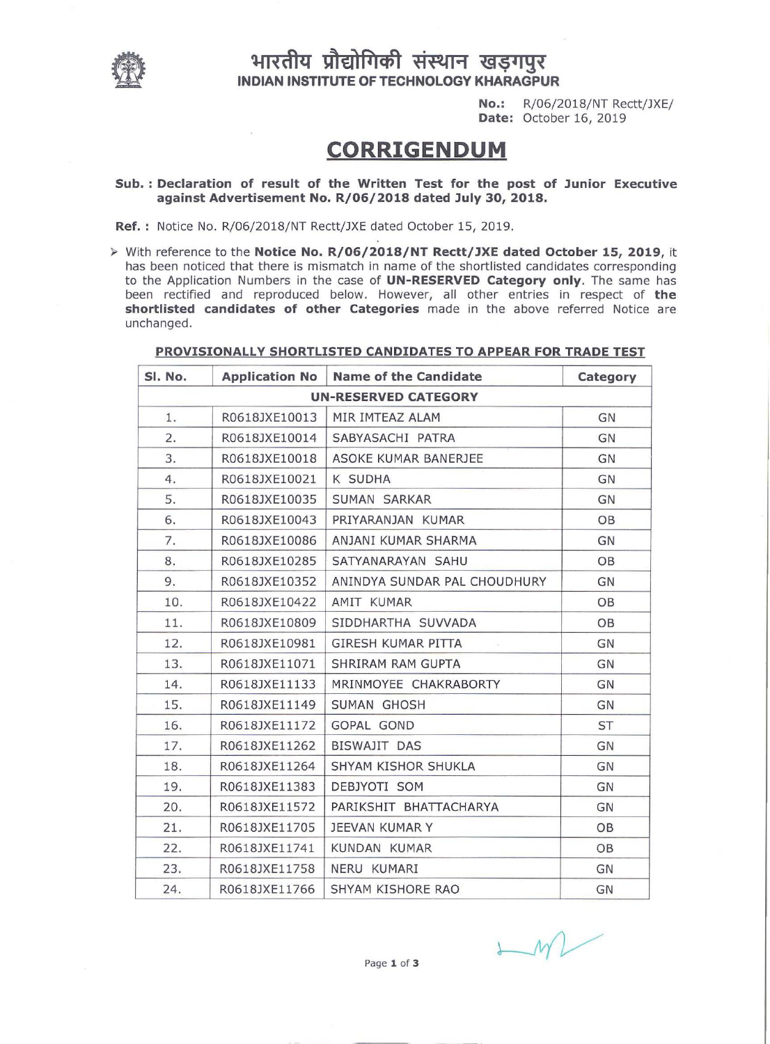

## 1-11~cflq ~cmfTictn ~ =&"?•Is~ **INDIAN INSTITUTE OF TECHNOLOGY KHARAGPUR**

**No.:** R/06/2018/NT Rectt/JXE/ **Date:** October 16, 2019

## **CORRIGENDUM**

## **Sub. : Declaration of result of the Written Test for the post of Junior Executive against Advertisement No. R/06/2018 dated July 30, 2018.**

**Ref. :** Notice No. R/06/2018/NT Rectt/JXE dated October 15, 2019.

*)>* With reference to the **Notice No. R/06/2018/NT Rectt/lXE dated October 15, 2019,** it has been noticed that there is mismatch in name of the shortlisted candidates corresponding to the Application Numbers in the case of **UN-RESERVED Category only.** The same has been rectified and reproduced below. However, all other entries in respect of **the shortlisted candidates of other Categories** made in the above referred Notice are unchanged.

| SI. No. | <b>Application No</b> | Name of the Candidate        | Category  |
|---------|-----------------------|------------------------------|-----------|
|         |                       | <b>UN-RESERVED CATEGORY</b>  |           |
| 1.      | R0618JXE10013         | MIR IMTEAZ ALAM              | GN        |
| 2.      | R0618JXE10014         | SABYASACHI PATRA             | GN        |
| 3.      | R0618JXE10018         | ASOKE KUMAR BANERJEE         | GN        |
| 4.      | R0618JXE10021         | K SUDHA                      | GN        |
| 5.      | R0618JXE10035         | SUMAN SARKAR                 | GN        |
| 6.      | R0618JXE10043         | PRIYARANJAN KUMAR            | OB        |
| 7.      | R0618JXE10086         | ANJANI KUMAR SHARMA          | GN        |
| 8.      | R0618JXE10285         | SATYANARAYAN SAHU            | OB        |
| 9.      | R0618JXE10352         | ANINDYA SUNDAR PAL CHOUDHURY | GN        |
| 10.     | R0618JXE10422         | AMIT KUMAR                   | OB        |
| 11.     | R0618JXE10809         | SIDDHARTHA SUVVADA           | OB        |
| 12.     | R0618JXE10981         | GIRESH KUMAR PITTA           | GN        |
| 13.     | R0618JXE11071         | SHRIRAM RAM GUPTA            | GN        |
| 14.     | R0618JXE11133         | MRINMOYEE CHAKRABORTY        | GN        |
| 15.     | R0618JXE11149         | <b>SUMAN GHOSH</b>           | GN        |
| 16.     | R0618JXE11172         | GOPAL GOND                   | <b>ST</b> |
| 17.     | R0618JXE11262         | <b>BISWAJIT DAS</b>          | GN        |
| 18.     | R0618JXE11264         | SHYAM KISHOR SHUKLA          | GN        |
| 19.     | R0618JXE11383         | DEBJYOTI SOM                 | GN        |
| 20.     | R0618JXE11572         | PARIKSHIT BHATTACHARYA       | GN        |
| 21.     | R0618JXE11705         | JEEVAN KUMAR Y               | OB        |
| 22.     | R0618JXE11741         | KUNDAN KUMAR                 | OB        |
| 23.     | R0618JXE11758         | NERU KUMARI                  | GN        |
| 24.     | R0618JXE11766         | SHYAM KISHORE RAO            | GN        |

## **PROVISIONALLY SHORTLISTED CANDIDATES TO APPEAR FOR TRADE TEST**

 $M$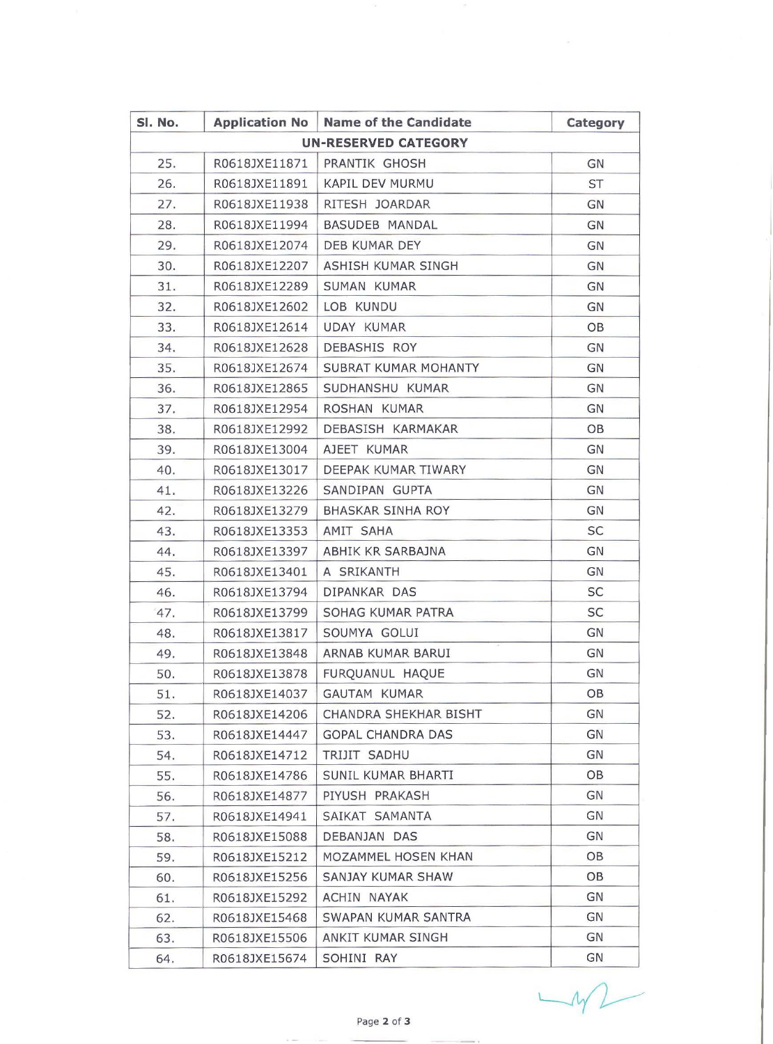| SI. No. |               | Application No   Name of the Candidate | Category  |
|---------|---------------|----------------------------------------|-----------|
|         |               | <b>UN-RESERVED CATEGORY</b>            |           |
| 25.     | R0618JXE11871 | PRANTIK GHOSH                          | GN        |
| 26.     | R0618JXE11891 | <b>KAPIL DEV MURMU</b>                 | <b>ST</b> |
| 27.     | R0618JXE11938 | RITESH JOARDAR                         | GN        |
| 28.     | R0618JXE11994 | BASUDEB MANDAL                         | GN        |
| 29.     | R0618JXE12074 | DEB KUMAR DEY                          | GN        |
| 30.     | R0618JXE12207 | ASHISH KUMAR SINGH                     | GN        |
| 31.     | R0618JXE12289 | SUMAN KUMAR                            | GN        |
| 32.     | R0618JXE12602 | LOB KUNDU                              | GN        |
| 33.     | R0618JXE12614 | UDAY KUMAR                             | OB        |
| 34.     | R0618JXE12628 | DEBASHIS ROY                           | GN        |
| 35.     | R0618JXE12674 | SUBRAT KUMAR MOHANTY                   | GN        |
| 36.     | R0618JXE12865 | SUDHANSHU KUMAR                        | GN        |
| 37.     | R0618JXE12954 | ROSHAN KUMAR                           | GN        |
| 38.     | R0618JXE12992 | DEBASISH KARMAKAR                      | OB        |
| 39.     | R0618JXE13004 | AJEET KUMAR                            | GN        |
| 40.     | R0618JXE13017 | DEEPAK KUMAR TIWARY                    | GN        |
| 41.     | R0618JXE13226 | SANDIPAN GUPTA                         | GN        |
| 42.     | R0618JXE13279 | <b>BHASKAR SINHA ROY</b>               | GN        |
| 43.     | R0618JXE13353 | AMIT SAHA                              | <b>SC</b> |
| 44.     | R0618JXE13397 | ABHIK KR SARBAJNA                      | GN        |
| 45.     | R0618JXE13401 | A SRIKANTH                             | GN        |
| 46.     | R0618JXE13794 | DIPANKAR DAS                           | <b>SC</b> |
| 47.     | R0618JXE13799 | SOHAG KUMAR PATRA                      | <b>SC</b> |
| 48.     | R0618JXE13817 | SOUMYA GOLUI                           | GN        |
| 49.     | R0618JXE13848 | ARNAB KUMAR BARUI                      | GN        |
| 50.     | R0618JXE13878 | FURQUANUL HAQUE                        | GN        |
| 51.     | R0618JXE14037 | GAUTAM KUMAR                           | OB        |
| 52.     | R0618JXE14206 | CHANDRA SHEKHAR BISHT                  | GN        |
| 53.     | R0618JXE14447 | <b>GOPAL CHANDRA DAS</b>               | GN        |
| 54.     | R0618JXE14712 | TRIJIT SADHU                           | GN        |
| 55.     | R0618JXE14786 | SUNIL KUMAR BHARTI                     | OB        |
| 56.     | R0618JXE14877 | PIYUSH PRAKASH                         | GN        |
| 57.     | R0618JXE14941 | SAIKAT SAMANTA                         | GN        |
| 58.     | R0618JXE15088 | DEBANJAN DAS                           | GN        |
| 59.     | R0618JXE15212 | MOZAMMEL HOSEN KHAN                    | OB        |
| 60.     | R0618JXE15256 | SANJAY KUMAR SHAW                      | OB        |
| 61.     | R0618JXE15292 | ACHIN NAYAK                            | GN        |
| 62.     | R0618JXE15468 | SWAPAN KUMAR SANTRA                    | GN        |
| 63.     | R0618JXE15506 | ANKIT KUMAR SINGH                      | GN        |
| 64.     | R0618JXE15674 | SOHINI RAY                             | GN        |

 $M$